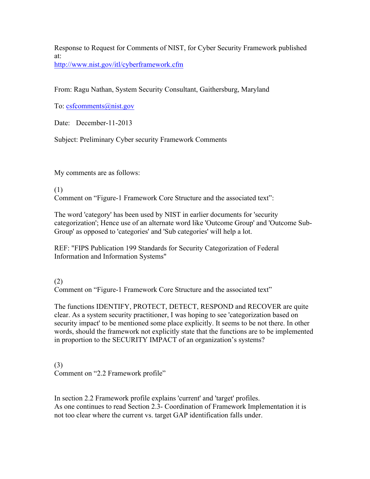Response to Request for Comments of NIST, for Cyber Security Framework published at: http://www.nist.gov/itl/cyberframework.cfm

From: Ragu Nathan, System Security Consultant, Gaithersburg, Maryland

To: csfcomments@nist.gov

Date: December-11-2013

Subject: Preliminary Cyber security Framework Comments

My comments are as follows:

## (1)

Comment on "Figure-1 Framework Core Structure and the associated text":

The word 'category' has been used by NIST in earlier documents for 'security categorization'; Hence use of an alternate word like 'Outcome Group' and 'Outcome Sub-Group' as opposed to 'categories' and 'Sub categories' will help a lot.

REF: "FIPS Publication 199 Standards for Security Categorization of Federal Information and Information Systems"

(2)

Comment on "Figure-1 Framework Core Structure and the associated text"

The functions IDENTIFY, PROTECT, DETECT, RESPOND and RECOVER are quite clear. As a system security practitioner, I was hoping to see 'categorization based on security impact' to be mentioned some place explicitly. It seems to be not there. In other words, should the framework not explicitly state that the functions are to be implemented in proportion to the SECURITY IMPACT of an organization's systems?

(3) Comment on "2.2 Framework profile"

 In section 2.2 Framework profile explains 'current' and 'target' profiles. As one continues to read Section 2.3- Coordination of Framework Implementation it is not too clear where the current vs. target GAP identification falls under.